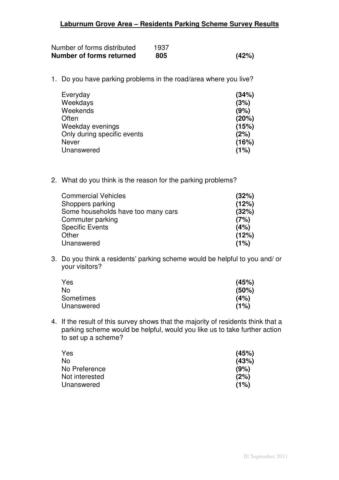| Number of forms distributed | 1937 |       |
|-----------------------------|------|-------|
| Number of forms returned    | 805  | (42%) |

1. Do you have parking problems in the road/area where you live?

| Everyday                    | (34%) |
|-----------------------------|-------|
| Weekdays                    | (3%)  |
| Weekends                    | (9%)  |
| Often                       | (20%) |
| Weekday evenings            | (15%) |
| Only during specific events | (2%)  |
| Never                       | (16%) |
| Unanswered                  | (1%)  |

2. What do you think is the reason for the parking problems?

| <b>Commercial Vehicles</b>         | (32%) |
|------------------------------------|-------|
| Shoppers parking                   | (12%) |
| Some households have too many cars | (32%) |
| Commuter parking                   | (7%)  |
| <b>Specific Events</b>             | (4%)  |
| Other                              | (12%) |
| Unanswered                         | (1%)  |

3. Do you think a residents' parking scheme would be helpful to you and/ or your visitors?

| Yes        | (45%) |
|------------|-------|
| No         | (50%) |
| Sometimes  | (4%)  |
| Unanswered | (1%)  |

4. If the result of this survey shows that the majority of residents think that a parking scheme would be helpful, would you like us to take further action to set up a scheme?

| Yes            | (45%) |
|----------------|-------|
| No.            | (43%) |
| No Preference  | (9%)  |
| Not interested | (2%)  |
| Unanswered     | (1%)  |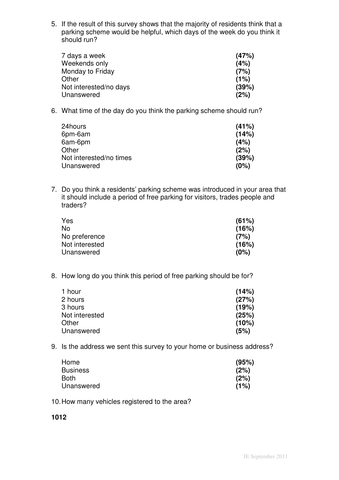5. If the result of this survey shows that the majority of residents think that a parking scheme would be helpful, which days of the week do you think it should run?

| 7 days a week          | (47%) |
|------------------------|-------|
| Weekends only          | (4%)  |
| Monday to Friday       | (7%)  |
| Other                  | (1%)  |
| Not interested/no days | (39%) |
| Unanswered             | (2%)  |

6. What time of the day do you think the parking scheme should run?

| 24hours                 | (41%) |
|-------------------------|-------|
| 6pm-6am                 | (14%) |
| 6am-6pm                 | (4%)  |
| Other                   | (2%)  |
| Not interested/no times | (39%) |
| Unanswered              | (0%)  |
|                         |       |

7. Do you think a residents' parking scheme was introduced in your area that it should include a period of free parking for visitors, trades people and traders?

| Yes            | (61%) |
|----------------|-------|
| No             | (16%) |
| No preference  | (7%)  |
| Not interested | (16%) |
| Unanswered     | (0%)  |
|                |       |

8. How long do you think this period of free parking should be for?

| 1 hour         | (14%) |
|----------------|-------|
| 2 hours        | (27%) |
| 3 hours        | (19%) |
| Not interested | (25%) |
| Other          | (10%) |
| Unanswered     | (5%)  |

9. Is the address we sent this survey to your home or business address?

| Home            | (95%) |
|-----------------|-------|
| <b>Business</b> | (2%)  |
| Both            | (2%)  |
| Unanswered      | (1%)  |

10.How many vehicles registered to the area?

**1012**